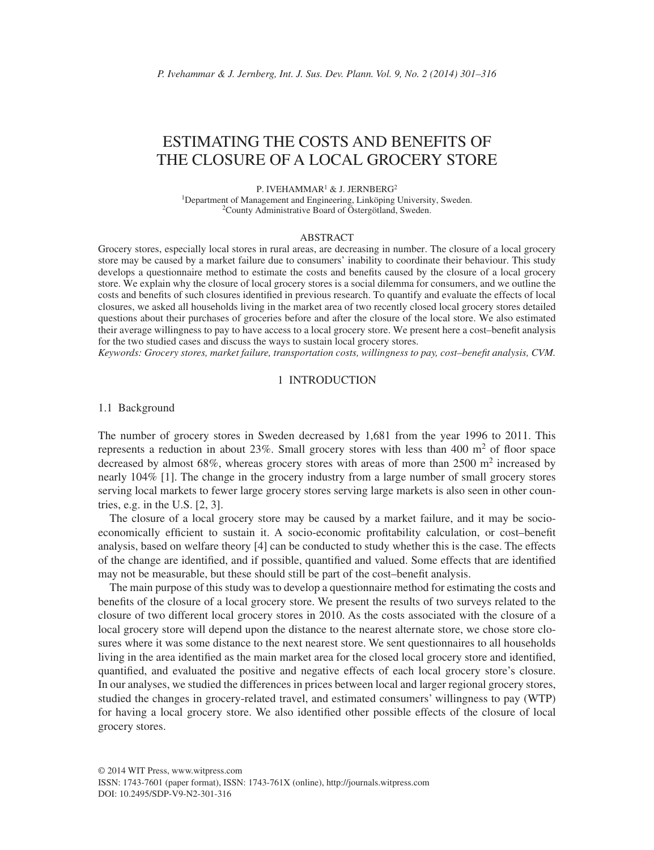# ESTIMATING THE COSTS AND BENEFITS OF THE CLOSURE OF A LOCAL GROCERY STORE

P. IVEHAMMAR<sup>1</sup> & J. JERNBERG<sup>2</sup> 1Department of Management and Engineering, Linköping University, Sweden. 2County Administrative Board of Östergötland, Sweden.

#### ABSTRACT

Grocery stores, especially local stores in rural areas, are decreasing in number. The closure of a local grocery store may be caused by a market failure due to consumers' inability to coordinate their behaviour. This study develops a questionnaire method to estimate the costs and benefits caused by the closure of a local grocery store. We explain why the closure of local grocery stores is a social dilemma for consumers, and we outline the costs and benefits of such closures identified in previous research. To quantify and evaluate the effects of local closures, we asked all households living in the market area of two recently closed local grocery stores detailed questions about their purchases of groceries before and after the closure of the local store. We also estimated their average willingness to pay to have access to a local grocery store. We present here a cost–benefit analysis for the two studied cases and discuss the ways to sustain local grocery stores.

*Keywords: Grocery stores, market failure, transportation costs, willingness to pay, cost–benefi t analysis, CVM.*

# 1 INTRODUCTION

# 1.1 Background

The number of grocery stores in Sweden decreased by 1,681 from the year 1996 to 2011. This represents a reduction in about 23%. Small grocery stores with less than 400  $m<sup>2</sup>$  of floor space decreased by almost 68%, whereas grocery stores with areas of more than  $2500 \text{ m}^2$  increased by nearly 104% [1]. The change in the grocery industry from a large number of small grocery stores serving local markets to fewer large grocery stores serving large markets is also seen in other countries, e.g. in the U.S. [2, 3].

The closure of a local grocery store may be caused by a market failure, and it may be socioeconomically efficient to sustain it. A socio-economic profitability calculation, or cost–benefit analysis, based on welfare theory [4] can be conducted to study whether this is the case. The effects of the change are identified, and if possible, quantified and valued. Some effects that are identified may not be measurable, but these should still be part of the cost–benefit analysis.

The main purpose of this study was to develop a questionnaire method for estimating the costs and benefits of the closure of a local grocery store. We present the results of two surveys related to the closure of two different local grocery stores in 2010. As the costs associated with the closure of a local grocery store will depend upon the distance to the nearest alternate store, we chose store closures where it was some distance to the next nearest store. We sent questionnaires to all households living in the area identified as the main market area for the closed local grocery store and identified, quantified, and evaluated the positive and negative effects of each local grocery store's closure. In our analyses, we studied the differences in prices between local and larger regional grocery stores, studied the changes in grocery-related travel, and estimated consumers' willingness to pay (WTP) for having a local grocery store. We also identified other possible effects of the closure of local grocery stores.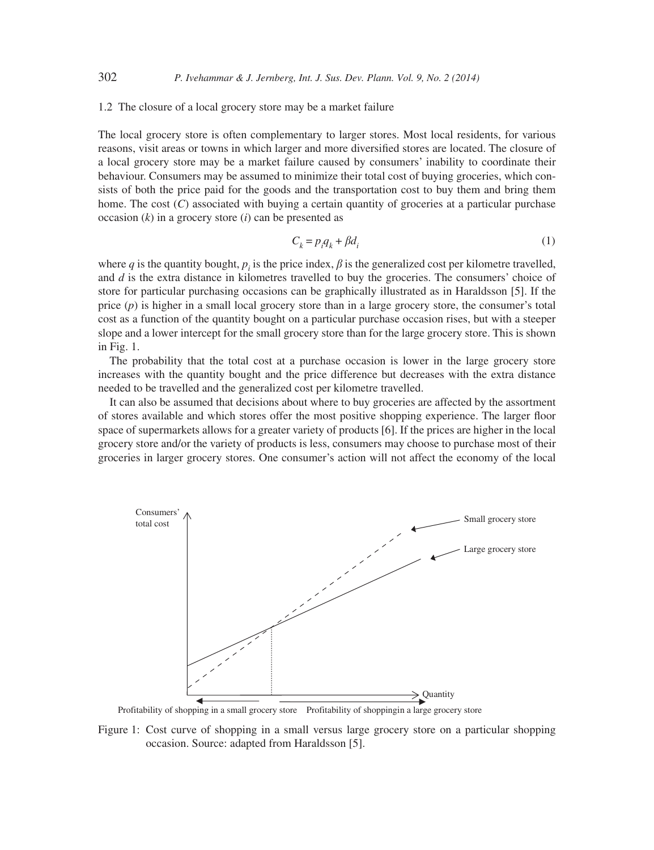### 1.2 The closure of a local grocery store may be a market failure

The local grocery store is often complementary to larger stores. Most local residents, for various reasons, visit areas or towns in which larger and more diversified stores are located. The closure of a local grocery store may be a market failure caused by consumers' inability to coordinate their behaviour. Consumers may be assumed to minimize their total cost of buying groceries, which consists of both the price paid for the goods and the transportation cost to buy them and bring them home. The cost (*C*) associated with buying a certain quantity of groceries at a particular purchase occasion (*k*) in a grocery store (*i*) can be presented as

$$
C_k = p_i q_k + \beta d_i \tag{1}
$$

where *q* is the quantity bought,  $p_i$  is the price index,  $\beta$  is the generalized cost per kilometre travelled, and *d* is the extra distance in kilometres travelled to buy the groceries. The consumers' choice of store for particular purchasing occasions can be graphically illustrated as in Haraldsson [5]. If the price (*p*) is higher in a small local grocery store than in a large grocery store, the consumer's total cost as a function of the quantity bought on a particular purchase occasion rises, but with a steeper slope and a lower intercept for the small grocery store than for the large grocery store. This is shown in Fig. 1.

The probability that the total cost at a purchase occasion is lower in the large grocery store increases with the quantity bought and the price difference but decreases with the extra distance needed to be travelled and the generalized cost per kilometre travelled.

It can also be assumed that decisions about where to buy groceries are affected by the assortment of stores available and which stores offer the most positive shopping experience. The larger floor space of supermarkets allows for a greater variety of products [6]. If the prices are higher in the local grocery store and/or the variety of products is less, consumers may choose to purchase most of their groceries in larger grocery stores. One consumer's action will not affect the economy of the local



Profitability of shopping in a small grocery store Profitability of shoppingin a large grocery store

Figure 1: Cost curve of shopping in a small versus large grocery store on a particular shopping occasion. Source: adapted from Haraldsson [5].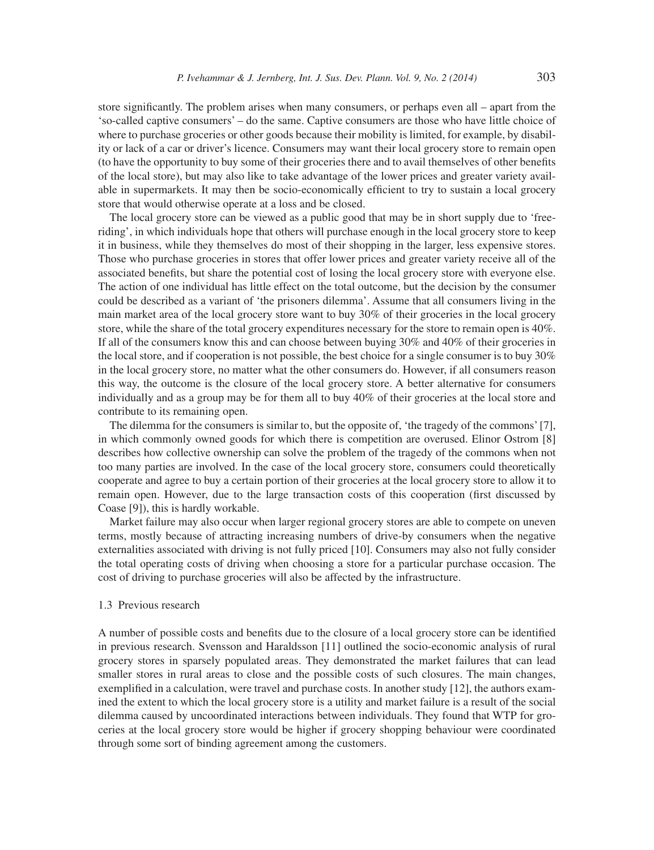store significantly. The problem arises when many consumers, or perhaps even all – apart from the 'so-called captive consumers' – do the same. Captive consumers are those who have little choice of where to purchase groceries or other goods because their mobility is limited, for example, by disability or lack of a car or driver's licence. Consumers may want their local grocery store to remain open (to have the opportunity to buy some of their groceries there and to avail themselves of other benefits of the local store), but may also like to take advantage of the lower prices and greater variety available in supermarkets. It may then be socio-economically efficient to try to sustain a local grocery store that would otherwise operate at a loss and be closed.

The local grocery store can be viewed as a public good that may be in short supply due to 'freeriding', in which individuals hope that others will purchase enough in the local grocery store to keep it in business, while they themselves do most of their shopping in the larger, less expensive stores. Those who purchase groceries in stores that offer lower prices and greater variety receive all of the associated benefits, but share the potential cost of losing the local grocery store with everyone else. The action of one individual has little effect on the total outcome, but the decision by the consumer could be described as a variant of 'the prisoners dilemma'. Assume that all consumers living in the main market area of the local grocery store want to buy 30% of their groceries in the local grocery store, while the share of the total grocery expenditures necessary for the store to remain open is 40%. If all of the consumers know this and can choose between buying 30% and 40% of their groceries in the local store, and if cooperation is not possible, the best choice for a single consumer is to buy 30% in the local grocery store, no matter what the other consumers do. However, if all consumers reason this way, the outcome is the closure of the local grocery store. A better alternative for consumers individually and as a group may be for them all to buy 40% of their groceries at the local store and contribute to its remaining open.

The dilemma for the consumers is similar to, but the opposite of, 'the tragedy of the commons' [7], in which commonly owned goods for which there is competition are overused. Elinor Ostrom [8] describes how collective ownership can solve the problem of the tragedy of the commons when not too many parties are involved. In the case of the local grocery store, consumers could theoretically cooperate and agree to buy a certain portion of their groceries at the local grocery store to allow it to remain open. However, due to the large transaction costs of this cooperation (first discussed by Coase [9]), this is hardly workable.

Market failure may also occur when larger regional grocery stores are able to compete on uneven terms, mostly because of attracting increasing numbers of drive-by consumers when the negative externalities associated with driving is not fully priced [10]. Consumers may also not fully consider the total operating costs of driving when choosing a store for a particular purchase occasion. The cost of driving to purchase groceries will also be affected by the infrastructure.

# 1.3 Previous research

A number of possible costs and benefits due to the closure of a local grocery store can be identified in previous research. Svensson and Haraldsson [11] outlined the socio-economic analysis of rural grocery stores in sparsely populated areas. They demonstrated the market failures that can lead smaller stores in rural areas to close and the possible costs of such closures. The main changes, exemplified in a calculation, were travel and purchase costs. In another study  $[12]$ , the authors examined the extent to which the local grocery store is a utility and market failure is a result of the social dilemma caused by uncoordinated interactions between individuals. They found that WTP for groceries at the local grocery store would be higher if grocery shopping behaviour were coordinated through some sort of binding agreement among the customers.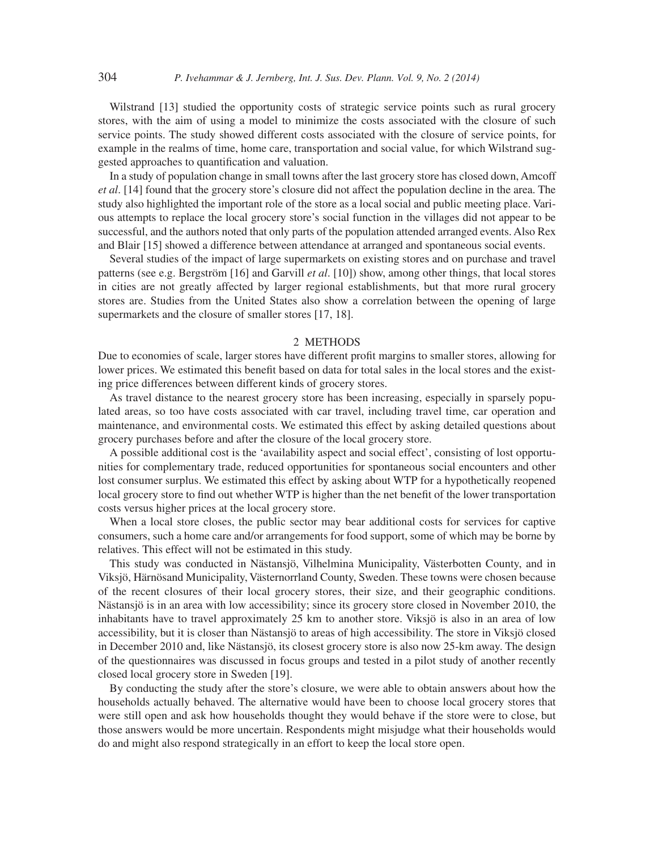Wilstrand [13] studied the opportunity costs of strategic service points such as rural grocery stores, with the aim of using a model to minimize the costs associated with the closure of such service points. The study showed different costs associated with the closure of service points, for example in the realms of time, home care, transportation and social value, for which Wilstrand suggested approaches to quantification and valuation.

In a study of population change in small towns after the last grocery store has closed down, Amcoff *et al*. [14] found that the grocery store's closure did not affect the population decline in the area. The study also highlighted the important role of the store as a local social and public meeting place. Various attempts to replace the local grocery store's social function in the villages did not appear to be successful, and the authors noted that only parts of the population attended arranged events. Also Rex and Blair [15] showed a difference between attendance at arranged and spontaneous social events.

Several studies of the impact of large supermarkets on existing stores and on purchase and travel patterns (see e.g. Bergström [16] and Garvill *et al*. [10]) show, among other things, that local stores in cities are not greatly affected by larger regional establishments, but that more rural grocery stores are. Studies from the United States also show a correlation between the opening of large supermarkets and the closure of smaller stores [17, 18].

## 2 METHODS

Due to economies of scale, larger stores have different profit margins to smaller stores, allowing for lower prices. We estimated this benefit based on data for total sales in the local stores and the existing price differences between different kinds of grocery stores.

As travel distance to the nearest grocery store has been increasing, especially in sparsely populated areas, so too have costs associated with car travel, including travel time, car operation and maintenance, and environmental costs. We estimated this effect by asking detailed questions about grocery purchases before and after the closure of the local grocery store.

A possible additional cost is the 'availability aspect and social effect', consisting of lost opportunities for complementary trade, reduced opportunities for spontaneous social encounters and other lost consumer surplus. We estimated this effect by asking about WTP for a hypothetically reopened local grocery store to find out whether WTP is higher than the net benefit of the lower transportation costs versus higher prices at the local grocery store.

When a local store closes, the public sector may bear additional costs for services for captive consumers, such a home care and/or arrangements for food support, some of which may be borne by relatives. This effect will not be estimated in this study.

This study was conducted in Nästansjö, Vilhelmina Municipality, Västerbotten County, and in Viksjö, Härnösand Municipality, Västernorrland County, Sweden. These towns were chosen because of the recent closures of their local grocery stores, their size, and their geographic conditions. Nästansjö is in an area with low accessibility; since its grocery store closed in November 2010, the inhabitants have to travel approximately 25 km to another store. Viksjö is also in an area of low accessibility, but it is closer than Nästansjö to areas of high accessibility. The store in Viksjö closed in December 2010 and, like Nästansjö, its closest grocery store is also now 25-km away. The design of the questionnaires was discussed in focus groups and tested in a pilot study of another recently closed local grocery store in Sweden [19].

By conducting the study after the store's closure, we were able to obtain answers about how the households actually behaved. The alternative would have been to choose local grocery stores that were still open and ask how households thought they would behave if the store were to close, but those answers would be more uncertain. Respondents might misjudge what their households would do and might also respond strategically in an effort to keep the local store open.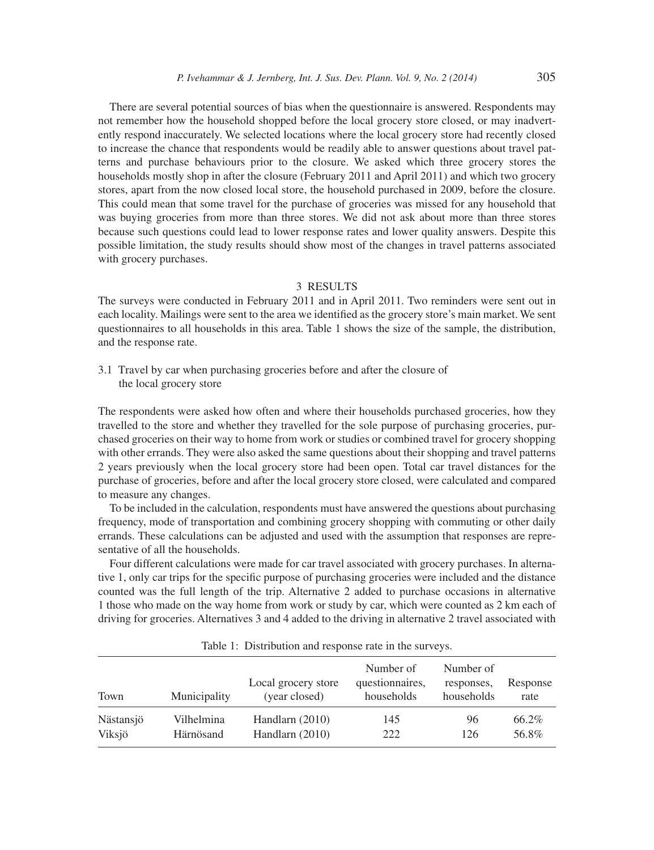There are several potential sources of bias when the questionnaire is answered. Respondents may not remember how the household shopped before the local grocery store closed, or may inadvertently respond inaccurately. We selected locations where the local grocery store had recently closed to increase the chance that respondents would be readily able to answer questions about travel patterns and purchase behaviours prior to the closure. We asked which three grocery stores the households mostly shop in after the closure (February 2011 and April 2011) and which two grocery stores, apart from the now closed local store, the household purchased in 2009, before the closure. This could mean that some travel for the purchase of groceries was missed for any household that was buying groceries from more than three stores. We did not ask about more than three stores because such questions could lead to lower response rates and lower quality answers. Despite this possible limitation, the study results should show most of the changes in travel patterns associated with grocery purchases.

# 3 RESULTS

The surveys were conducted in February 2011 and in April 2011. Two reminders were sent out in each locality. Mailings were sent to the area we identified as the grocery store's main market. We sent questionnaires to all households in this area. Table 1 shows the size of the sample, the distribution, and the response rate.

3.1 Travel by car when purchasing groceries before and after the closure of the local grocery store

The respondents were asked how often and where their households purchased groceries, how they travelled to the store and whether they travelled for the sole purpose of purchasing groceries, purchased groceries on their way to home from work or studies or combined travel for grocery shopping with other errands. They were also asked the same questions about their shopping and travel patterns 2 years previously when the local grocery store had been open. Total car travel distances for the purchase of groceries, before and after the local grocery store closed, were calculated and compared to measure any changes.

To be included in the calculation, respondents must have answered the questions about purchasing frequency, mode of transportation and combining grocery shopping with commuting or other daily errands. These calculations can be adjusted and used with the assumption that responses are representative of all the households.

Four different calculations were made for car travel associated with grocery purchases. In alternative 1, only car trips for the specific purpose of purchasing groceries were included and the distance counted was the full length of the trip. Alternative 2 added to purchase occasions in alternative 1 those who made on the way home from work or study by car, which were counted as 2 km each of driving for groceries. Alternatives 3 and 4 added to the driving in alternative 2 travel associated with

| Town      | Municipality | Local grocery store<br>(year closed) | Number of<br>questionnaires,<br>households | Number of<br>responses,<br>households | Response<br>rate |
|-----------|--------------|--------------------------------------|--------------------------------------------|---------------------------------------|------------------|
| Nästansjö | Vilhelmina   | Handlarn $(2010)$                    | 145                                        | 96                                    | 66.2%            |
| Viksjö    | Härnösand    | Handlarn $(2010)$                    | 222                                        | 126                                   | 56.8%            |

Table 1: Distribution and response rate in the surveys.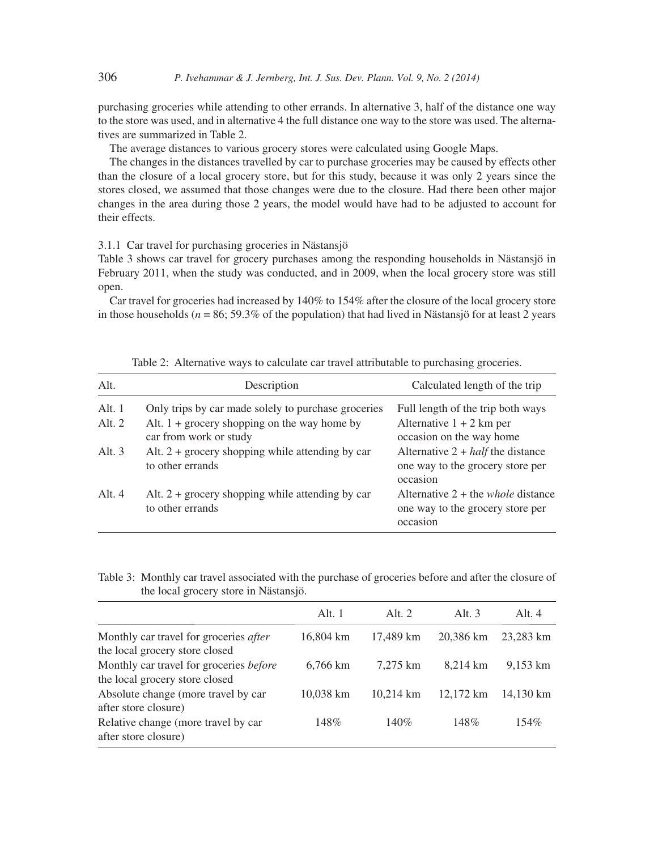purchasing groceries while attending to other errands. In alternative 3, half of the distance one way to the store was used, and in alternative 4 the full distance one way to the store was used. The alternatives are summarized in Table 2.

The average distances to various grocery stores were calculated using Google Maps.

The changes in the distances travelled by car to purchase groceries may be caused by effects other than the closure of a local grocery store, but for this study, because it was only 2 years since the stores closed, we assumed that those changes were due to the closure. Had there been other major changes in the area during those 2 years, the model would have had to be adjusted to account for their effects.

3.1.1 Car travel for purchasing groceries in Nästansjö

Table 3 shows car travel for grocery purchases among the responding households in Nästansjö in February 2011, when the study was conducted, and in 2009, when the local grocery store was still open.

Car travel for groceries had increased by 140% to 154% after the closure of the local grocery store in those households (*n* = 86; 59.3% of the population) that had lived in Nästansjö for at least 2 years

| Alt.     | Description                                                              | Calculated length of the trip                                                               |
|----------|--------------------------------------------------------------------------|---------------------------------------------------------------------------------------------|
| Alt. $1$ | Only trips by car made solely to purchase groceries                      | Full length of the trip both ways                                                           |
| Alt. $2$ | Alt. $1 +$ grocery shopping on the way home by<br>car from work or study | Alternative $1 + 2$ km per<br>occasion on the way home                                      |
| Alt. $3$ | Alt. $2 +$ grocery shopping while attending by car<br>to other errands   | Alternative $2 + half$ the distance<br>one way to the grocery store per<br>occasion         |
| Alt. $4$ | Alt. $2 +$ grocery shopping while attending by car<br>to other errands   | Alternative $2 +$ the <i>whole</i> distance<br>one way to the grocery store per<br>occasion |

Table 2: Alternative ways to calculate car travel attributable to purchasing groceries.

Table 3: Monthly car travel associated with the purchase of groceries before and after the closure of the local grocery store in Nästansjö.

|                                                                                 | Alt. 1             | Alt. $2$  | Alt. $3$  | Alt. $4$           |
|---------------------------------------------------------------------------------|--------------------|-----------|-----------|--------------------|
| Monthly car travel for groceries <i>after</i><br>the local grocery store closed | 16,804 km          | 17,489 km | 20,386 km | 23,283 km          |
| Monthly car travel for groceries before<br>the local grocery store closed       | $6.766 \text{ km}$ | 7.275 km  | 8.214 km  | $9,153 \text{ km}$ |
| Absolute change (more travel by car<br>after store closure)                     | 10,038 km          | 10.214 km | 12.172 km | 14.130 km          |
| Relative change (more travel by car<br>after store closure)                     | 148%               | 140%      | 148%      | $154\%$            |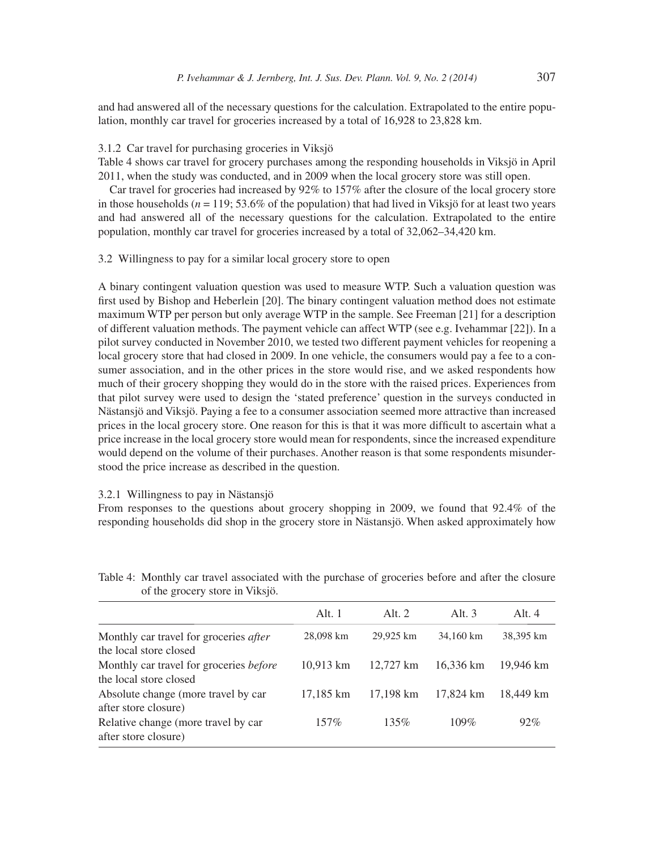and had answered all of the necessary questions for the calculation. Extrapolated to the entire population, monthly car travel for groceries increased by a total of 16,928 to 23,828 km.

# 3.1.2 Car travel for purchasing groceries in Viksjö

Table 4 shows car travel for grocery purchases among the responding households in Viksjö in April 2011, when the study was conducted, and in 2009 when the local grocery store was still open.

Car travel for groceries had increased by 92% to 157% after the closure of the local grocery store in those households ( $n = 119$ ; 53.6% of the population) that had lived in Viksjö for at least two years and had answered all of the necessary questions for the calculation. Extrapolated to the entire population, monthly car travel for groceries increased by a total of 32,062–34,420 km.

# 3.2 Willingness to pay for a similar local grocery store to open

A binary contingent valuation question was used to measure WTP. Such a valuation question was first used by Bishop and Heberlein [20]. The binary contingent valuation method does not estimate maximum WTP per person but only average WTP in the sample. See Freeman [21] for a description of different valuation methods. The payment vehicle can affect WTP (see e.g. Ivehammar [22]). In a pilot survey conducted in November 2010, we tested two different payment vehicles for reopening a local grocery store that had closed in 2009. In one vehicle, the consumers would pay a fee to a consumer association, and in the other prices in the store would rise, and we asked respondents how much of their grocery shopping they would do in the store with the raised prices. Experiences from that pilot survey were used to design the 'stated preference' question in the surveys conducted in Nästansjö and Viksjö. Paying a fee to a consumer association seemed more attractive than increased prices in the local grocery store. One reason for this is that it was more difficult to ascertain what a price increase in the local grocery store would mean for respondents, since the increased expenditure would depend on the volume of their purchases. Another reason is that some respondents misunderstood the price increase as described in the question.

## 3.2.1 Willingness to pay in Nästansjö

From responses to the questions about grocery shopping in 2009, we found that 92.4% of the responding households did shop in the grocery store in Nästansjö. When asked approximately how

| of the grocer, store in value of                                         |           |           |           |           |
|--------------------------------------------------------------------------|-----------|-----------|-----------|-----------|
|                                                                          | Alt. 1    | Alt. $2$  | Alt. $3$  | Alt. $4$  |
| Monthly car travel for groceries <i>after</i><br>the local store closed  | 28,098 km | 29,925 km | 34,160 km | 38,395 km |
| Monthly car travel for groceries <i>before</i><br>the local store closed | 10,913 km | 12.727 km | 16,336 km | 19.946 km |
| Absolute change (more travel by car<br>after store closure)              | 17,185 km | 17,198 km | 17,824 km | 18.449 km |
| Relative change (more travel by car<br>after store closure)              | $157\%$   | 135%      | $109\%$   | 92%       |

Table 4: Monthly car travel associated with the purchase of groceries before and after the closure of the grocery store in Viksjö.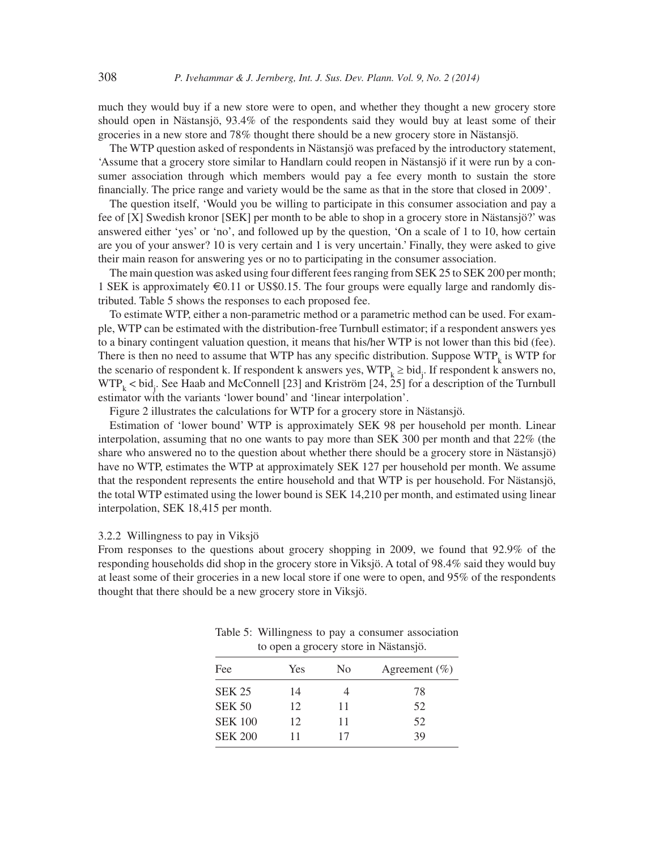much they would buy if a new store were to open, and whether they thought a new grocery store should open in Nästansjö, 93.4% of the respondents said they would buy at least some of their groceries in a new store and 78% thought there should be a new grocery store in Nästansjö.

The WTP question asked of respondents in Nästansjö was prefaced by the introductory statement, 'Assume that a grocery store similar to Handlarn could reopen in Nästansjö if it were run by a consumer association through which members would pay a fee every month to sustain the store financially. The price range and variety would be the same as that in the store that closed in 2009'.

The question itself, 'Would you be willing to participate in this consumer association and pay a fee of [X] Swedish kronor [SEK] per month to be able to shop in a grocery store in Nästansjö?' was answered either 'yes' or 'no', and followed up by the question, 'On a scale of 1 to 10, how certain are you of your answer? 10 is very certain and 1 is very uncertain.' Finally, they were asked to give their main reason for answering yes or no to participating in the consumer association.

The main question was asked using four different fees ranging from SEK 25 to SEK 200 per month; 1 SEK is approximately  $\epsilon$ 0.11 or US\$0.15. The four groups were equally large and randomly distributed. Table 5 shows the responses to each proposed fee.

To estimate WTP, either a non-parametric method or a parametric method can be used. For example, WTP can be estimated with the distribution-free Turnbull estimator; if a respondent answers yes to a binary contingent valuation question, it means that his/her WTP is not lower than this bid (fee). There is then no need to assume that WTP has any specific distribution. Suppose WTP<sub>k</sub> is WTP for the scenario of respondent k. If respondent k answers yes,  $WTP_k \geq bid_j$ . If respondent k answers no,  $WTP_k < bid_j$ . See Haab and McConnell [23] and Kriström [24, 25] for a description of the Turnbull estimator with the variants 'lower bound' and 'linear interpolation'.

Figure 2 illustrates the calculations for WTP for a grocery store in Nästansjö.

Estimation of 'lower bound' WTP is approximately SEK 98 per household per month. Linear interpolation, assuming that no one wants to pay more than SEK 300 per month and that 22% (the share who answered no to the question about whether there should be a grocery store in Nästansjö) have no WTP, estimates the WTP at approximately SEK 127 per household per month. We assume that the respondent represents the entire household and that WTP is per household. For Nästansjö, the total WTP estimated using the lower bound is SEK 14,210 per month, and estimated using linear interpolation, SEK 18,415 per month.

#### 3.2.2 Willingness to pay in Viksjö

From responses to the questions about grocery shopping in 2009, we found that 92.9% of the responding households did shop in the grocery store in Viksjö. A total of 98.4% said they would buy at least some of their groceries in a new local store if one were to open, and 95% of the respondents thought that there should be a new grocery store in Viksjö.

| Fee            | Yes | N <sub>0</sub> | Agreement $(\% )$ |
|----------------|-----|----------------|-------------------|
| <b>SEK 25</b>  | 14  |                | 78                |
| <b>SEK 50</b>  | 12  | 11             | 52                |
| <b>SEK 100</b> | 12  | 11             | 52                |
| <b>SEK 200</b> | 11  | 17             | 39                |

Table 5: Willingness to pay a consumer association to open a grocery store in Nästansjö.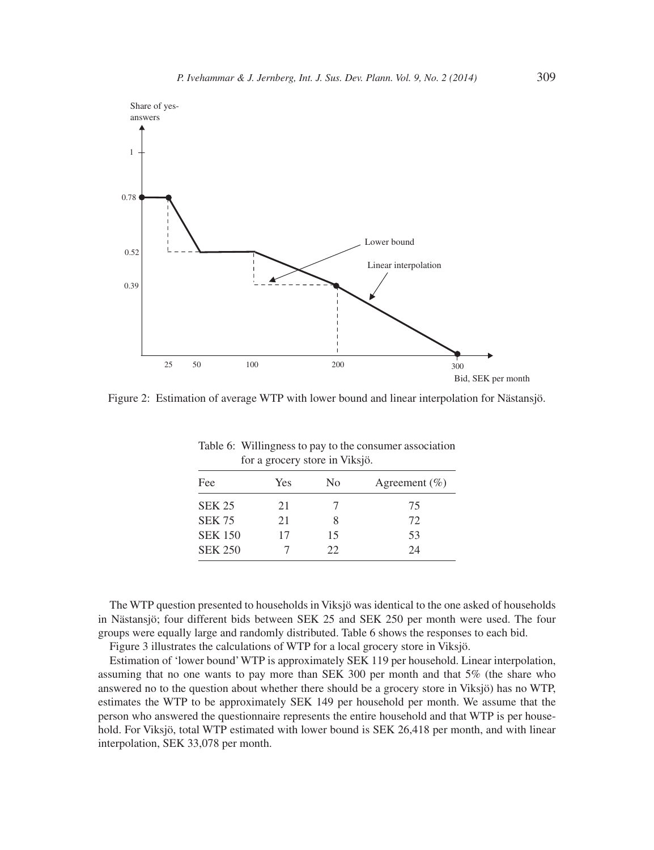

Figure 2: Estimation of average WTP with lower bound and linear interpolation for Nästansjö.

| Fee            | <b>Yes</b> | N <sub>0</sub> | Agreement $(\% )$ |
|----------------|------------|----------------|-------------------|
| <b>SEK 25</b>  | 21         |                | 75                |
| <b>SEK 75</b>  | 21         | 8              | 72                |
| <b>SEK 150</b> | 17         | 15             | 53                |
| <b>SEK 250</b> |            | 22.            | 24                |

Table 6: Willingness to pay to the consumer association for a grocery store in Viksjö.

The WTP question presented to households in Viksjö was identical to the one asked of households in Nästansjö; four different bids between SEK 25 and SEK 250 per month were used. The four groups were equally large and randomly distributed. Table 6 shows the responses to each bid.

Figure 3 illustrates the calculations of WTP for a local grocery store in Viksjö.

Estimation of 'lower bound' WTP is approximately SEK 119 per household. Linear interpolation, assuming that no one wants to pay more than SEK 300 per month and that 5% (the share who answered no to the question about whether there should be a grocery store in Viksjö) has no WTP, estimates the WTP to be approximately SEK 149 per household per month. We assume that the person who answered the questionnaire represents the entire household and that WTP is per household. For Viksjö, total WTP estimated with lower bound is SEK 26,418 per month, and with linear interpolation, SEK 33,078 per month.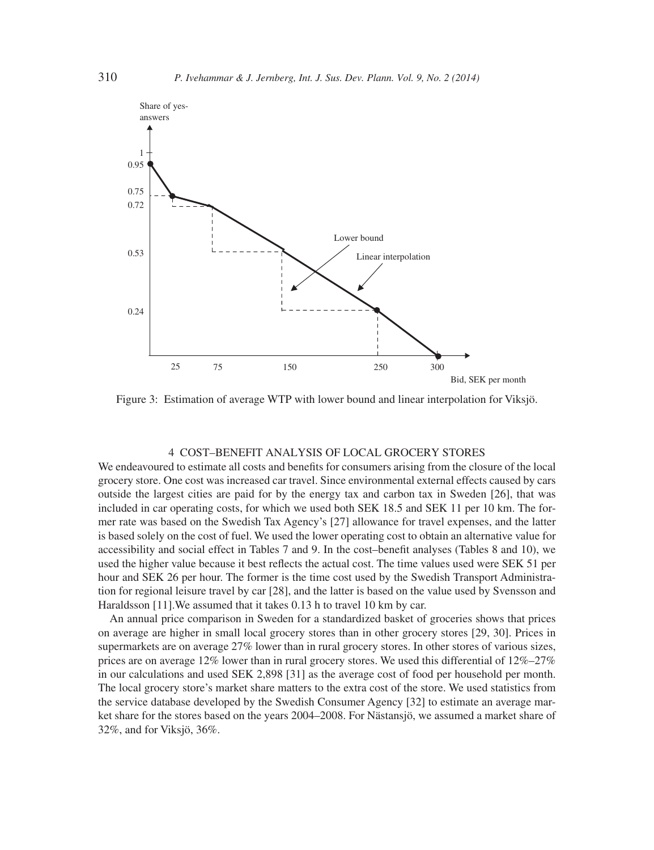

Figure 3: Estimation of average WTP with lower bound and linear interpolation for Viksjö.

## 4 COST–BENEFIT ANALYSIS OF LOCAL GROCERY STORES

We endeavoured to estimate all costs and benefits for consumers arising from the closure of the local grocery store. One cost was increased car travel. Since environmental external effects caused by cars outside the largest cities are paid for by the energy tax and carbon tax in Sweden [26], that was included in car operating costs, for which we used both SEK 18.5 and SEK 11 per 10 km. The former rate was based on the Swedish Tax Agency's [27] allowance for travel expenses, and the latter is based solely on the cost of fuel. We used the lower operating cost to obtain an alternative value for accessibility and social effect in Tables 7 and 9. In the cost–benefit analyses (Tables 8 and 10), we used the higher value because it best reflects the actual cost. The time values used were SEK 51 per hour and SEK 26 per hour. The former is the time cost used by the Swedish Transport Administration for regional leisure travel by car [28], and the latter is based on the value used by Svensson and Haraldsson [11].We assumed that it takes 0.13 h to travel 10 km by car.

An annual price comparison in Sweden for a standardized basket of groceries shows that prices on average are higher in small local grocery stores than in other grocery stores [29, 30]. Prices in supermarkets are on average 27% lower than in rural grocery stores. In other stores of various sizes, prices are on average  $12\%$  lower than in rural grocery stores. We used this differential of  $12\%$ –27% in our calculations and used SEK 2,898 [31] as the average cost of food per household per month. The local grocery store's market share matters to the extra cost of the store. We used statistics from the service database developed by the Swedish Consumer Agency [32] to estimate an average market share for the stores based on the years 2004–2008. For Nästansjö, we assumed a market share of 32%, and for Viksjö, 36%.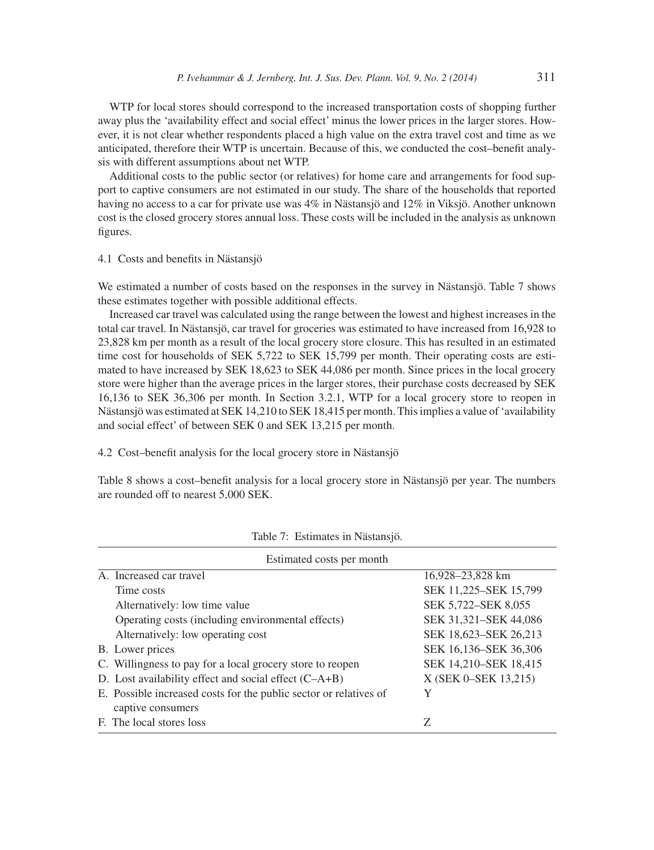WTP for local stores should correspond to the increased transportation costs of shopping further away plus the 'availability effect and social effect' minus the lower prices in the larger stores. However, it is not clear whether respondents placed a high value on the extra travel cost and time as we anticipated, therefore their WTP is uncertain. Because of this, we conducted the cost–benefit analysis with different assumptions about net WTP.

Additional costs to the public sector (or relatives) for home care and arrangements for food support to captive consumers are not estimated in our study. The share of the households that reported having no access to a car for private use was 4% in Nästansjö and 12% in Viksjö. Another unknown cost is the closed grocery stores annual loss. These costs will be included in the analysis as unknown figures.

# 4.1 Costs and benefits in Nästansjö

We estimated a number of costs based on the responses in the survey in Nästansjö. Table 7 shows these estimates together with possible additional effects.

Increased car travel was calculated using the range between the lowest and highest increases in the total car travel. In Nästansjö, car travel for groceries was estimated to have increased from 16,928 to 23,828 km per month as a result of the local grocery store closure. This has resulted in an estimated time cost for households of SEK 5,722 to SEK 15,799 per month. Their operating costs are estimated to have increased by SEK 18,623 to SEK 44,086 per month. Since prices in the local grocery store were higher than the average prices in the larger stores, their purchase costs decreased by SEK 16,136 to SEK 36,306 per month. In Section 3.2.1, WTP for a local grocery store to reopen in Nästansjö was estimated at SEK 14,210 to SEK 18,415 per month. This implies a value of 'availability and social effect' of between SEK 0 and SEK 13,215 per month.

4.2 Cost–benefit analysis for the local grocery store in Nästansjö

Table 8 shows a cost–benefit analysis for a local grocery store in Nästansjö per year. The numbers are rounded off to nearest 5,000 SEK.

| Estimated costs per month                                         |                       |
|-------------------------------------------------------------------|-----------------------|
| A. Increased car travel                                           | 16,928–23,828 km      |
| Time costs                                                        | SEK 11,225–SEK 15,799 |
| Alternatively: low time value                                     | SEK 5,722–SEK 8,055   |
| Operating costs (including environmental effects)                 | SEK 31,321-SEK 44,086 |
| Alternatively: low operating cost                                 | SEK 18,623–SEK 26,213 |
| B. Lower prices                                                   | SEK 16,136–SEK 36,306 |
| C. Willingness to pay for a local grocery store to reopen         | SEK 14,210–SEK 18,415 |
| D. Lost availability effect and social effect $(C-A+B)$           | X (SEK 0-SEK 13,215)  |
| E. Possible increased costs for the public sector or relatives of | Y                     |
| captive consumers                                                 |                       |
| F. The local stores loss                                          | Z                     |

Table 7: Estimates in Nästansjö.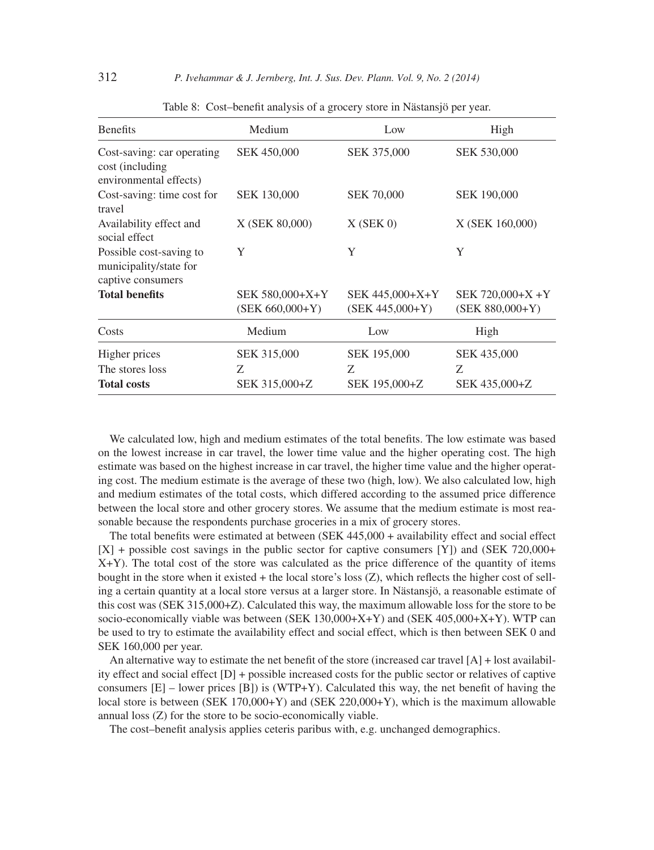| Medium                               | Low                                      | High                                     |
|--------------------------------------|------------------------------------------|------------------------------------------|
| <b>SEK 450,000</b>                   | SEK 375,000                              | <b>SEK 530,000</b>                       |
| <b>SEK 130,000</b>                   | <b>SEK 70,000</b>                        | <b>SEK 190,000</b>                       |
| X (SEK 80,000)                       | $X$ (SEK 0)                              | X (SEK 160,000)                          |
| Y                                    | Y                                        | Y                                        |
| SEK 580,000+X+Y<br>$(SEK 660,000+Y)$ | SEK 445,000+X+Y<br>$(SEK 445,000+Y)$     | SEK 720,000+X +Y<br>$(SEK 880,000+Y)$    |
| Medium                               | Low                                      | High                                     |
| SEK 315,000<br>Z<br>SEK 315,000+Z    | <b>SEK 195,000</b><br>Z<br>SEK 195,000+Z | <b>SEK 435,000</b><br>Z<br>SEK 435,000+Z |
|                                      |                                          |                                          |

Table 8: Cost–benefit analysis of a grocery store in Nästansjö per year.

We calculated low, high and medium estimates of the total benefits. The low estimate was based on the lowest increase in car travel, the lower time value and the higher operating cost. The high estimate was based on the highest increase in car travel, the higher time value and the higher operating cost. The medium estimate is the average of these two (high, low). We also calculated low, high and medium estimates of the total costs, which differed according to the assumed price difference between the local store and other grocery stores. We assume that the medium estimate is most reasonable because the respondents purchase groceries in a mix of grocery stores.

The total benefits were estimated at between (SEK  $445,000 +$  availability effect and social effect [X] + possible cost savings in the public sector for captive consumers [Y]) and (SEK 720,000+ X+Y). The total cost of the store was calculated as the price difference of the quantity of items bought in the store when it existed  $+$  the local store's loss  $(Z)$ , which reflects the higher cost of selling a certain quantity at a local store versus at a larger store. In Nästansjö, a reasonable estimate of this cost was (SEK 315,000+Z). Calculated this way, the maximum allowable loss for the store to be socio-economically viable was between (SEK 130,000+X+Y) and (SEK 405,000+X+Y). WTP can be used to try to estimate the availability effect and social effect, which is then between SEK 0 and SEK 160,000 per year.

An alternative way to estimate the net benefit of the store (increased car travel  $[A]$  + lost availability effect and social effect [D] + possible increased costs for the public sector or relatives of captive consumers  $[E]$  – lower prices  $[B]$ ) is (WTP+Y). Calculated this way, the net benefit of having the local store is between (SEK 170,000+Y) and (SEK 220,000+Y), which is the maximum allowable annual loss (Z) for the store to be socio-economically viable.

The cost-benefit analysis applies ceteris paribus with, e.g. unchanged demographics.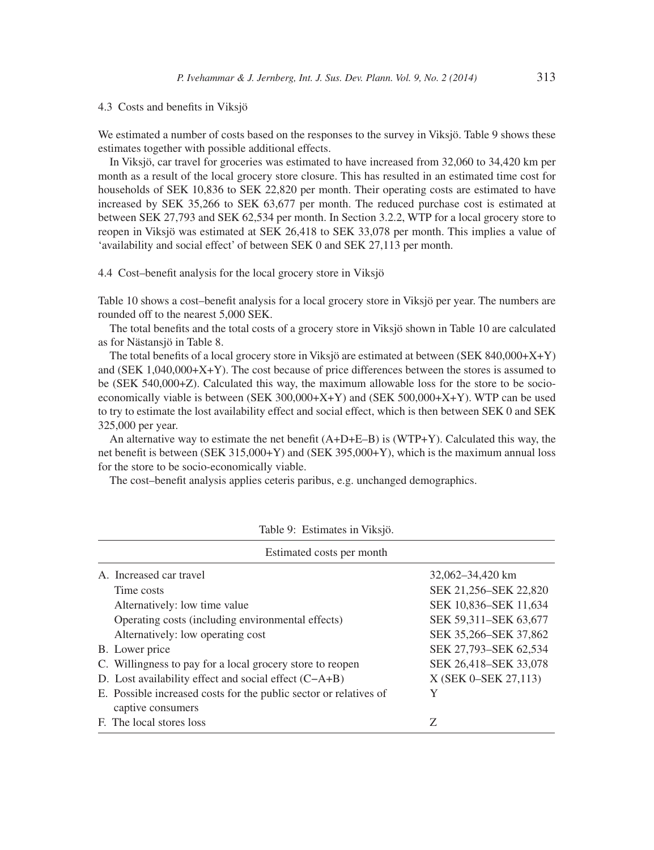4.3 Costs and benefits in Viksjö

We estimated a number of costs based on the responses to the survey in Viksjö. Table 9 shows these estimates together with possible additional effects.

In Viksjö, car travel for groceries was estimated to have increased from 32,060 to 34,420 km per month as a result of the local grocery store closure. This has resulted in an estimated time cost for households of SEK 10,836 to SEK 22,820 per month. Their operating costs are estimated to have increased by SEK 35,266 to SEK 63,677 per month. The reduced purchase cost is estimated at between SEK 27,793 and SEK 62,534 per month. In Section 3.2.2, WTP for a local grocery store to reopen in Viksjö was estimated at SEK 26,418 to SEK 33,078 per month. This implies a value of 'availability and social effect' of between SEK 0 and SEK 27,113 per month.

## 4.4 Cost–benefit analysis for the local grocery store in Viksjö

Table 10 shows a cost–benefit analysis for a local grocery store in Viksjö per year. The numbers are rounded off to the nearest 5,000 SEK.

The total benefits and the total costs of a grocery store in Viksjö shown in Table 10 are calculated as for Nästansjö in Table 8.

The total benefits of a local grocery store in Viksjö are estimated at between (SEK 840,000+X+Y) and (SEK 1,040,000+X+Y). The cost because of price differences between the stores is assumed to be (SEK 540,000+Z). Calculated this way, the maximum allowable loss for the store to be socioeconomically viable is between (SEK 300,000+X+Y) and (SEK 500,000+X+Y). WTP can be used to try to estimate the lost availability effect and social effect, which is then between SEK 0 and SEK 325,000 per year.

An alternative way to estimate the net benefit  $(A+D+E-B)$  is (WTP+Y). Calculated this way, the net benefit is between (SEK 315,000+Y) and (SEK 395,000+Y), which is the maximum annual loss for the store to be socio-economically viable.

The cost–benefit analysis applies ceteris paribus, e.g. unchanged demographics.

| Estimated costs per month                                                              |                       |
|----------------------------------------------------------------------------------------|-----------------------|
| A. Increased car travel                                                                | 32,062-34,420 km      |
| Time costs                                                                             | SEK 21,256–SEK 22,820 |
| Alternatively: low time value                                                          | SEK 10,836–SEK 11,634 |
| Operating costs (including environmental effects)                                      | SEK 59.311–SEK 63,677 |
| Alternatively: low operating cost                                                      | SEK 35,266–SEK 37,862 |
| B. Lower price                                                                         | SEK 27,793–SEK 62,534 |
| C. Willingness to pay for a local grocery store to reopen                              | SEK 26,418-SEK 33,078 |
| D. Lost availability effect and social effect $(C-A+B)$                                | X (SEK 0-SEK 27,113)  |
| E. Possible increased costs for the public sector or relatives of<br>captive consumers | Y                     |
| F. The local stores loss                                                               | Z                     |

Table 9: Estimates in Viksjö.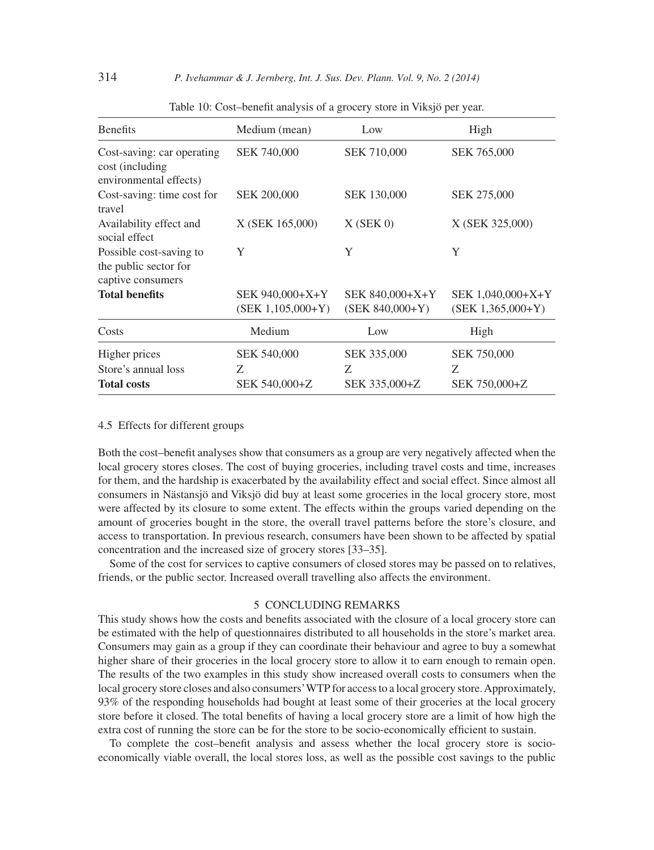| <b>Benefits</b>                                                          | Medium (mean)                            | Low                                  | High                                     |
|--------------------------------------------------------------------------|------------------------------------------|--------------------------------------|------------------------------------------|
| Cost-saving: car operating<br>cost (including)<br>environmental effects) | <b>SEK 740,000</b>                       | SEK 710,000                          | <b>SEK 765,000</b>                       |
| Cost-saving: time cost for<br>travel                                     | <b>SEK 200,000</b>                       | <b>SEK 130,000</b>                   | <b>SEK 275,000</b>                       |
| Availability effect and<br>social effect                                 | X (SEK 165,000)                          | $X$ (SEK 0)                          | X (SEK 325,000)                          |
| Possible cost-saving to<br>the public sector for<br>captive consumers    | Y                                        | Y                                    | Y                                        |
| <b>Total benefits</b>                                                    | SEK 940,000+X+Y<br>$(SEK 1, 105, 000+Y)$ | SEK 840,000+X+Y<br>$(SEK 840,000+Y)$ | SEK 1,040,000+X+Y<br>$(SEK 1,365,000+Y)$ |
| Costs                                                                    | Medium                                   | Low                                  | High                                     |
| Higher prices<br>Store's annual loss<br><b>Total costs</b>               | <b>SEK 540,000</b><br>Z<br>SEK 540,000+Z | SEK 335,000<br>Z<br>SEK 335,000+Z    | <b>SEK 750,000</b><br>Z<br>SEK 750,000+Z |

Table 10: Cost–benefit analysis of a grocery store in Viksjö per year.

# 4.5 Effects for different groups

Both the cost–benefi t analyses show that consumers as a group are very negatively affected when the local grocery stores closes. The cost of buying groceries, including travel costs and time, increases for them, and the hardship is exacerbated by the availability effect and social effect. Since almost all consumers in Nästansjö and Viksjö did buy at least some groceries in the local grocery store, most were affected by its closure to some extent. The effects within the groups varied depending on the amount of groceries bought in the store, the overall travel patterns before the store's closure, and access to transportation. In previous research, consumers have been shown to be affected by spatial concentration and the increased size of grocery stores [33–35].

Some of the cost for services to captive consumers of closed stores may be passed on to relatives, friends, or the public sector. Increased overall travelling also affects the environment.

# 5 CONCLUDING REMARKS

This study shows how the costs and benefits associated with the closure of a local grocery store can be estimated with the help of questionnaires distributed to all households in the store's market area. Consumers may gain as a group if they can coordinate their behaviour and agree to buy a somewhat higher share of their groceries in the local grocery store to allow it to earn enough to remain open. The results of the two examples in this study show increased overall costs to consumers when the local grocery store closes and also consumers' WTP for access to a local grocery store. Approximately, 93% of the responding households had bought at least some of their groceries at the local grocery store before it closed. The total benefits of having a local grocery store are a limit of how high the extra cost of running the store can be for the store to be socio-economically efficient to sustain.

To complete the cost–benefit analysis and assess whether the local grocery store is socioeconomically viable overall, the local stores loss, as well as the possible cost savings to the public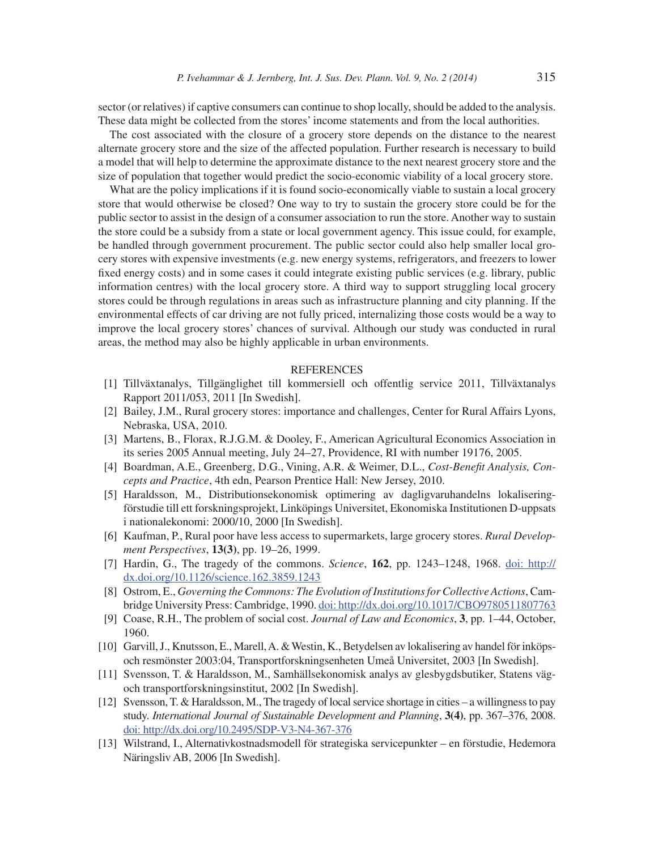sector (or relatives) if captive consumers can continue to shop locally, should be added to the analysis. These data might be collected from the stores' income statements and from the local authorities.

The cost associated with the closure of a grocery store depends on the distance to the nearest alternate grocery store and the size of the affected population. Further research is necessary to build a model that will help to determine the approximate distance to the next nearest grocery store and the size of population that together would predict the socio-economic viability of a local grocery store.

What are the policy implications if it is found socio-economically viable to sustain a local grocery store that would otherwise be closed? One way to try to sustain the grocery store could be for the public sector to assist in the design of a consumer association to run the store. Another way to sustain the store could be a subsidy from a state or local government agency. This issue could, for example, be handled through government procurement. The public sector could also help smaller local grocery stores with expensive investments (e.g. new energy systems, refrigerators, and freezers to lower fixed energy costs) and in some cases it could integrate existing public services (e.g. library, public information centres) with the local grocery store. A third way to support struggling local grocery stores could be through regulations in areas such as infrastructure planning and city planning. If the environmental effects of car driving are not fully priced, internalizing those costs would be a way to improve the local grocery stores' chances of survival. Although our study was conducted in rural areas, the method may also be highly applicable in urban environments.

## **REFERENCES**

- [1] Tillväxtanalys, Tillgänglighet till kommersiell och offentlig service 2011, Tillväxtanalys Rapport 2011/053, 2011 [In Swedish].
- [2] Bailey, J.M., Rural grocery stores: importance and challenges, Center for Rural Affairs Lyons, Nebraska, USA, 2010.
- [3] Martens, B., Florax, R.J.G.M. & Dooley, F., American Agricultural Economics Association in its series 2005 Annual meeting, July 24–27, Providence, RI with number 19176, 2005.
- [4] Boardman, A.E., Greenberg, D.G., Vining, A.R. & Weimer, D.L., *Cost-Benefi t Analysis, Concepts and Practice*, 4th edn, Pearson Prentice Hall: New Jersey, 2010.
- [5] Haraldsson, M., Distributionsekonomisk optimering av dagligvaruhandelns lokaliseringförstudie till ett forskningsprojekt, Linköpings Universitet, Ekonomiska Institutionen D-uppsats i nationalekonomi: 2000/10, 2000 [In Swedish].
- [6] Kaufman, P., Rural poor have less access to supermarkets, large grocery stores. *Rural Development Perspectives*, **13(3)**, pp. 19–26, 1999.
- [7] Hardin, G., The tragedy of the commons. *Science*, **162**, pp. 1243–1248, 1968. doi: http:// dx.doi.org/10.1126/science.162.3859.1243
- [8] Ostrom, E., *Governing the Commons: The Evolution of Institutions for Collective Actions*, Cambridge University Press: Cambridge, 1990. doi: http://dx.doi.org/10.1017/CBO9780511807763
- [9] Coase, R.H., The problem of social cost. *Journal of Law and Economics*, **3**, pp. 1–44, October, 1960.
- [10] Garvill, J., Knutsson, E., Marell, A. & Westin, K., Betydelsen av lokalisering av handel för inköpsoch resmönster 2003:04, Transportforskningsenheten Umeå Universitet, 2003 [In Swedish].
- [11] Svensson, T. & Haraldsson, M., Samhällsekonomisk analys av glesbygdsbutiker, Statens vägoch transportforskningsinstitut, 2002 [In Swedish].
- [12] Svensson, T. & Haraldsson, M., The tragedy of local service shortage in cities a willingness to pay study. *International Journal of Sustainable Development and Planning*, **3(4)**, pp. 367–376, 2008. doi: http://dx.doi.org/10.2495/SDP-V3-N4-367-376
- [13] Wilstrand, I., Alternativkostnadsmodell för strategiska servicepunkter en förstudie, Hedemora Näringsliv AB, 2006 [In Swedish].